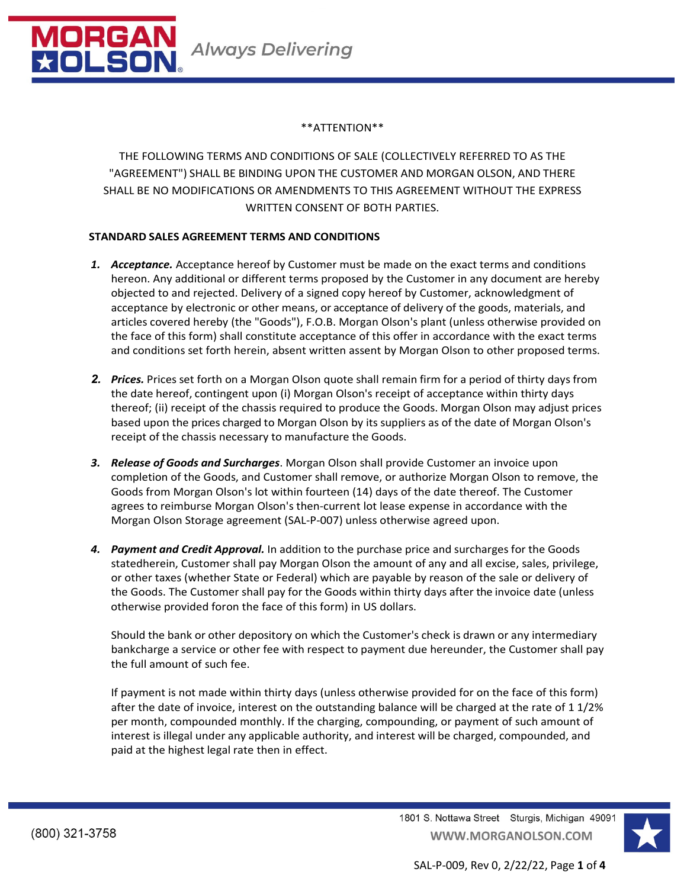

## \*\*ATTENTION\*\*

THE FOLLOWING TERMS AND CONDITIONS OF SALE (COLLECTIVELY REFERRED TO AS THE "AGREEMENT") SHALL BE BINDING UPON THE CUSTOMER AND MORGAN OLSON, AND THERE SHALL BE NO MODIFICATIONS OR AMENDMENTS TO THIS AGREEMENT WITHOUT THE EXPRESS WRITTEN CONSENT OF BOTH PARTIES.

## **STANDARD SALES AGREEMENT TERMS AND CONDITIONS**

- *1. Acceptance.* Acceptance hereof by Customer must be made on the exact terms and conditions hereon. Any additional or different terms proposed by the Customer in any document are hereby objected to and rejected. Delivery of a signed copy hereof by Customer, acknowledgment of acceptance by electronic or other means, or acceptance of delivery of the goods, materials, and articles covered hereby (the "Goods"), F.O.B. Morgan Olson's plant (unless otherwise provided on the face of this form) shall constitute acceptance of this offer in accordance with the exact terms and conditions set forth herein, absent written assent by Morgan Olson to other proposed terms.
- *2. Prices.* Prices set forth on a Morgan Olson quote shall remain firm for a period of thirty days from the date hereof, contingent upon (i) Morgan Olson's receipt of acceptance within thirty days thereof; (ii) receipt of the chassis required to produce the Goods. Morgan Olson may adjust prices based upon the prices charged to Morgan Olson by its suppliers as of the date of Morgan Olson's receipt of the chassis necessary to manufacture the Goods.
- *3. Release of Goods and Surcharges*. Morgan Olson shall provide Customer an invoice upon completion of the Goods, and Customer shall remove, or authorize Morgan Olson to remove, the Goods from Morgan Olson's lot within fourteen (14) days of the date thereof. The Customer agrees to reimburse Morgan Olson's then-current lot lease expense in accordance with the Morgan Olson Storage agreement (SAL-P-007) unless otherwise agreed upon.
- *4. Payment and Credit Approval.* In addition to the purchase price and surcharges for the Goods statedherein, Customer shall pay Morgan Olson the amount of any and all excise, sales, privilege, or other taxes (whether State or Federal) which are payable by reason of the sale or delivery of the Goods. The Customer shall pay for the Goods within thirty days after the invoice date (unless otherwise provided foron the face of this form) in US dollars.

Should the bank or other depository on which the Customer's check is drawn or any intermediary bankcharge a service or other fee with respect to payment due hereunder, the Customer shall pay the full amount of such fee.

If payment is not made within thirty days (unless otherwise provided for on the face of this form) after the date of invoice, interest on the outstanding balance will be charged at the rate of 1 1/2% per month, compounded monthly. If the charging, compounding, or payment of such amount of interest is illegal under any applicable authority, and interest will be charged, compounded, and paid at the highest legal rate then in effect.

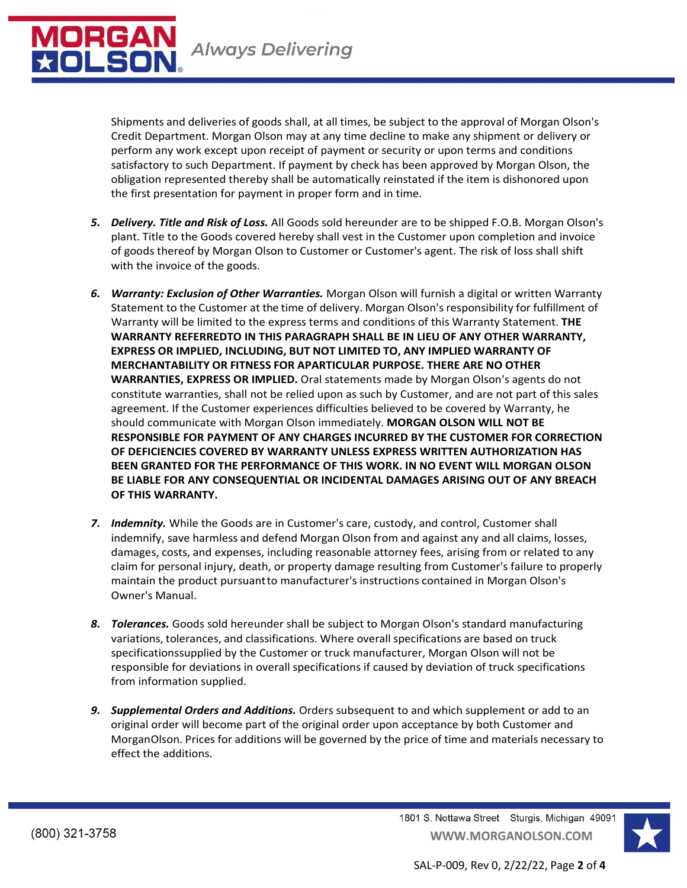

Shipments and deliveries of goods shall, at all times, be subject to the approval of Morgan Olson's Credit Department. Morgan Olson may at any time decline to make any shipment or delivery or perform any work except upon receipt of payment or security or upon terms and conditions satisfactory to such Department. If payment by check has been approved by Morgan Olson, the obligation represented thereby shall be automatically reinstated if the item is dishonored upon the first presentation for payment in proper form and in time.

- *5. Delivery. Title and Risk of Loss.* All Goods sold hereunder are to be shipped F.O.B. Morgan Olson's plant. Title to the Goods covered hereby shall vest in the Customer upon completion and invoice of goods thereof by Morgan Olson to Customer or Customer's agent. The risk of loss shall shift with the invoice of the goods.
- *6. Warranty: Exclusion of Other Warranties.* Morgan Olson will furnish a digital or written Warranty Statement to the Customer at the time of delivery. Morgan Olson's responsibility for fulfillment of Warranty will be limited to the express terms and conditions of this Warranty Statement. **THE WARRANTY REFERREDTO IN THIS PARAGRAPH SHALL BE IN LIEU OF ANY OTHER WARRANTY, EXPRESS OR IMPLIED, INCLUDING, BUT NOT LIMITED TO, ANY IMPLIED WARRANTY OF MERCHANTABILITY OR FITNESS FOR APARTICULAR PURPOSE. THERE ARE NO OTHER WARRANTIES, EXPRESS OR IMPLIED.** Oral statements made by Morgan Olson's agents do not constitute warranties, shall not be relied upon as such by Customer, and are not part of this sales agreement. If the Customer experiences difficulties believed to be covered by Warranty, he should communicate with Morgan Olson immediately. **MORGAN OLSON WILL NOT BE RESPONSIBLE FOR PAYMENT OF ANY CHARGES INCURRED BY THE CUSTOMER FOR CORRECTION OF DEFICIENCIES COVERED BY WARRANTY UNLESS EXPRESS WRITTEN AUTHORIZATION HAS BEEN GRANTED FOR THE PERFORMANCE OF THIS WORK. IN NO EVENT WILL MORGAN OLSON BE LIABLE FOR ANY CONSEQUENTIAL OR INCIDENTAL DAMAGES ARISING OUT OF ANY BREACH OF THIS WARRANTY.**
- *7. Indemnity.* While the Goods are in Customer's care, custody, and control, Customer shall indemnify, save harmless and defend Morgan Olson from and against any and all claims, losses, damages, costs, and expenses, including reasonable attorney fees, arising from or related to any claim for personal injury, death, or property damage resulting from Customer's failure to properly maintain the product pursuant to manufacturer's instructions contained in Morgan Olson's Owner's Manual.
- *8. Tolerances.* Goods sold hereunder shall be subject to Morgan Olson's standard manufacturing variations, tolerances, and classifications. Where overall specifications are based on truck specificationssupplied by the Customer or truck manufacturer, Morgan Olson will not be responsible for deviations in overall specifications if caused by deviation of truck specifications from information supplied.
- *9. Supplemental Orders and Additions.* Orders subsequent to and which supplement or add to an original order will become part of the original order upon acceptance by both Customer and MorganOlson. Prices for additions will be governed by the price of time and materials necessary to effect the additions.

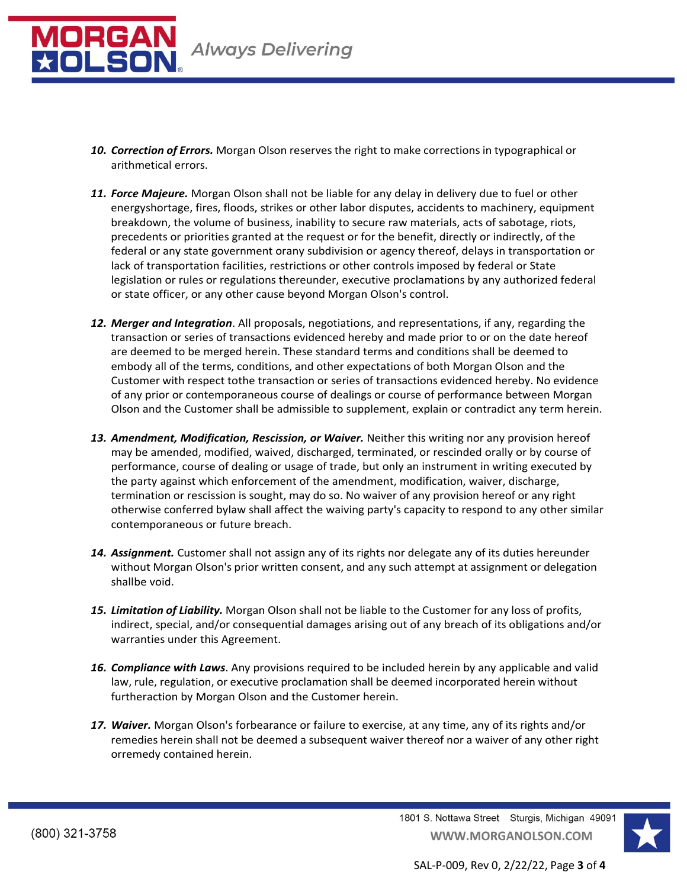

- *10. Correction of Errors.* Morgan Olson reserves the right to make corrections in typographical or arithmetical errors.
- *11. Force Majeure.* Morgan Olson shall not be liable for any delay in delivery due to fuel or other energyshortage, fires, floods, strikes or other labor disputes, accidents to machinery, equipment breakdown, the volume of business, inability to secure raw materials, acts of sabotage, riots, precedents or priorities granted at the request or for the benefit, directly or indirectly, of the federal or any state government orany subdivision or agency thereof, delays in transportation or lack of transportation facilities, restrictions or other controls imposed by federal or State legislation or rules or regulations thereunder, executive proclamations by any authorized federal or state officer, or any other cause beyond Morgan Olson's control.
- *12. Merger and Integration*. All proposals, negotiations, and representations, if any, regarding the transaction or series of transactions evidenced hereby and made prior to or on the date hereof are deemed to be merged herein. These standard terms and conditions shall be deemed to embody all of the terms, conditions, and other expectations of both Morgan Olson and the Customer with respect tothe transaction or series of transactions evidenced hereby. No evidence of any prior or contemporaneous course of dealings or course of performance between Morgan Olson and the Customer shall be admissible to supplement, explain or contradict any term herein.
- *13. Amendment, Modification, Rescission, or Waiver.* Neither this writing nor any provision hereof may be amended, modified, waived, discharged, terminated, or rescinded orally or by course of performance, course of dealing or usage of trade, but only an instrument in writing executed by the party against which enforcement of the amendment, modification, waiver, discharge, termination or rescission is sought, may do so. No waiver of any provision hereof or any right otherwise conferred bylaw shall affect the waiving party's capacity to respond to any other similar contemporaneous or future breach.
- *14. Assignment.* Customer shall not assign any of its rights nor delegate any of its duties hereunder without Morgan Olson's prior written consent, and any such attempt at assignment or delegation shallbe void.
- *15. Limitation of Liability.* Morgan Olson shall not be liable to the Customer for any loss of profits, indirect, special, and/or consequential damages arising out of any breach of its obligations and/or warranties under this Agreement.
- *16. Compliance with Laws*. Any provisions required to be included herein by any applicable and valid law, rule, regulation, or executive proclamation shall be deemed incorporated herein without furtheraction by Morgan Olson and the Customer herein.
- *17. Waiver.* Morgan Olson's forbearance or failure to exercise, at any time, any of its rights and/or remedies herein shall not be deemed a subsequent waiver thereof nor a waiver of any other right orremedy contained herein.